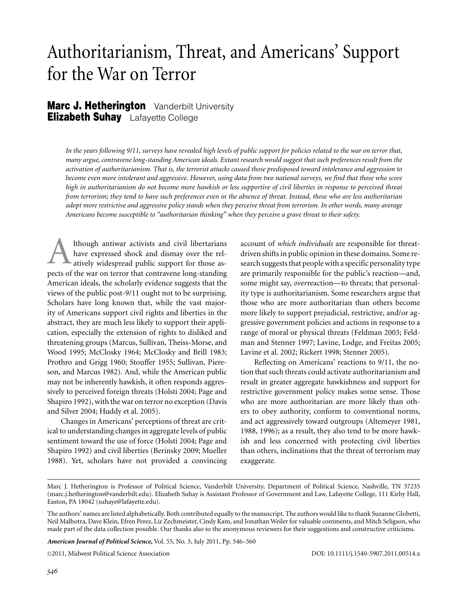# Authoritarianism, Threat, and Americans' Support for the War on Terror

# **Marc J. Hetherington** Vanderbilt University **Elizabeth Suhay** Lafayette College

*In the years following 9/11, surveys have revealed high levels of public support for policies related to the war on terror that, many argue, contravene long-standing American ideals. Extant research would suggest that such preferences result from the activation of authoritarianism. That is, the terrorist attacks caused those predisposed toward intolerance and aggression to become even more intolerant and aggressive. However, using data from two national surveys, we find that those who score high in authoritarianism do not become more hawkish or less supportive of civil liberties in response to perceived threat from terrorism; they tend to have such preferences even in the absence of threat. Instead, those who are less authoritarian adopt more restrictive and aggressive policy stands when they perceive threat from terrorism. In other words, many average Americans become susceptible to "authoritarian thinking" when they perceive a grave threat to their safety.*

Ithough antiwar activists and civil libertarians<br>have expressed shock and dismay over the rel-<br>atively widespread public support for those as-<br>nexts of the view on tenue that continuum long standing have expressed shock and dismay over the relpects of the war on terror that contravene long-standing American ideals, the scholarly evidence suggests that the views of the public post-9/11 ought not to be surprising. Scholars have long known that, while the vast majority of Americans support civil rights and liberties in the abstract, they are much less likely to support their application, especially the extension of rights to disliked and threatening groups (Marcus, Sullivan, Theiss-Morse, and Wood 1995; McClosky 1964; McClosky and Brill 1983; Prothro and Grigg 1960; Stouffer 1955; Sullivan, Piereson, and Marcus 1982). And, while the American public may not be inherently hawkish, it often responds aggressively to perceived foreign threats (Holsti 2004; Page and Shapiro 1992), with the war on terror no exception (Davis and Silver 2004; Huddy et al. 2005).

Changes in Americans' perceptions of threat are critical to understanding changes in aggregate levels of public sentiment toward the use of force (Holsti 2004; Page and Shapiro 1992) and civil liberties (Berinsky 2009; Mueller 1988). Yet, scholars have not provided a convincing account of *which individuals* are responsible for threatdriven shifts in public opinion in these domains. Some research suggests that people with a specific personality type are primarily responsible for the public's reaction—and, some might say, *over*reaction—to threats; that personality type is authoritarianism. Some researchers argue that those who are more authoritarian than others become more likely to support prejudicial, restrictive, and/or aggressive government policies and actions in response to a range of moral or physical threats (Feldman 2003; Feldman and Stenner 1997; Lavine, Lodge, and Freitas 2005; Lavine et al. 2002; Rickert 1998; Stenner 2005).

Reflecting on Americans' reactions to 9/11, the notion that such threats could activate authoritarianism and result in greater aggregate hawkishness and support for restrictive government policy makes some sense. Those who are more authoritarian are more likely than others to obey authority, conform to conventional norms, and act aggressively toward outgroups (Altemeyer 1981, 1988, 1996); as a result, they also tend to be more hawkish and less concerned with protecting civil liberties than others, inclinations that the threat of terrorism may exaggerate.

*American Journal of Political Science***,** Vol. 55, No. 3, July 2011, Pp. 546–560

-<sup>C</sup> 2011, Midwest Political Science Association DOI: 10.1111/j.1540-5907.2011.00514.x

Marc J. Hetherington is Professor of Political Science, Vanderbilt University, Department of Political Science, Nashville, TN 37235 (marc.j.hetherington@vanderbilt.edu). Elizabeth Suhay is Assistant Professor of Government and Law, Lafayette College, 111 Kirby Hall, Easton, PA 18042 (suhaye@lafayette.edu).

The authors' names are listed alphabetically. Both contributed equally to the manuscript. The authors would like to thank Suzanne Globetti, Neil Malhotra, Dave Klein, Efren Perez, Liz Zechmeister, Cindy Kam, and Jonathan Weiler for valuable comments, and Mitch Seligson, who made part of the data collection possible. Our thanks also to the anonymous reviewers for their suggestions and constructive criticisms.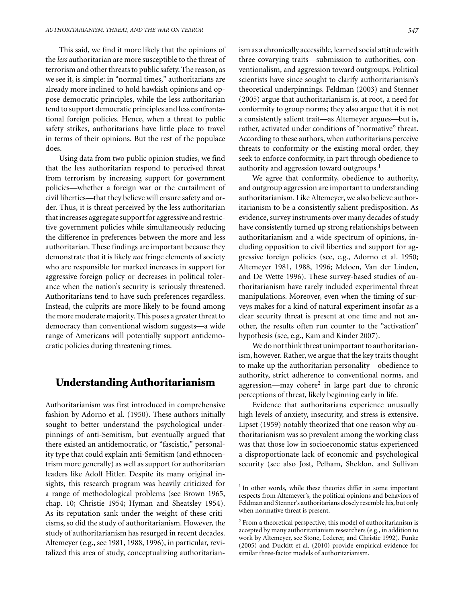This said, we find it more likely that the opinions of the *less* authoritarian are more susceptible to the threat of terrorism and other threats to public safety. The reason, as we see it, is simple: in "normal times," authoritarians are already more inclined to hold hawkish opinions and oppose democratic principles, while the less authoritarian tend to support democratic principles and less confrontational foreign policies. Hence, when a threat to public safety strikes, authoritarians have little place to travel in terms of their opinions. But the rest of the populace does.

Using data from two public opinion studies, we find that the less authoritarian respond to perceived threat from terrorism by increasing support for government policies—whether a foreign war or the curtailment of civil liberties—that they believe will ensure safety and order. Thus, it is threat perceived by the less authoritarian that increases aggregate support for aggressive and restrictive government policies while simultaneously reducing the difference in preferences between the more and less authoritarian. These findings are important because they demonstrate that it is likely *not* fringe elements of society who are responsible for marked increases in support for aggressive foreign policy or decreases in political tolerance when the nation's security is seriously threatened. Authoritarians tend to have such preferences regardless. Instead, the culprits are more likely to be found among the more moderate majority. This poses a greater threat to democracy than conventional wisdom suggests—a wide range of Americans will potentially support antidemocratic policies during threatening times.

## **Understanding Authoritarianism**

Authoritarianism was first introduced in comprehensive fashion by Adorno et al. (1950). These authors initially sought to better understand the psychological underpinnings of anti-Semitism, but eventually argued that there existed an antidemocratic, or "fascistic," personality type that could explain anti-Semitism (and ethnocentrism more generally) as well as support for authoritarian leaders like Adolf Hitler. Despite its many original insights, this research program was heavily criticized for a range of methodological problems (see Brown 1965, chap. 10; Christie 1954; Hyman and Sheatsley 1954). As its reputation sank under the weight of these criticisms, so did the study of authoritarianism. However, the study of authoritarianism has resurged in recent decades. Altemeyer (e.g., see 1981, 1988, 1996), in particular, revitalized this area of study, conceptualizing authoritarianism as a chronically accessible, learned social attitude with three covarying traits—submission to authorities, conventionalism, and aggression toward outgroups. Political scientists have since sought to clarify authoritarianism's theoretical underpinnings. Feldman (2003) and Stenner (2005) argue that authoritarianism is, at root, a need for conformity to group norms; they also argue that it is not a consistently salient trait—as Altemeyer argues—but is, rather, activated under conditions of "normative" threat. According to these authors, when authoritarians perceive threats to conformity or the existing moral order, they seek to enforce conformity, in part through obedience to authority and aggression toward outgroups.<sup>1</sup>

We agree that conformity, obedience to authority, and outgroup aggression are important to understanding authoritarianism. Like Altemeyer, we also believe authoritarianism to be a consistently salient predisposition. As evidence, survey instruments over many decades of study have consistently turned up strong relationships between authoritarianism and a wide spectrum of opinions, including opposition to civil liberties and support for aggressive foreign policies (see, e.g., Adorno et al. 1950; Altemeyer 1981, 1988, 1996; Meloen, Van der Linden, and De Wette 1996). These survey-based studies of authoritarianism have rarely included experimental threat manipulations. Moreover, even when the timing of surveys makes for a kind of natural experiment insofar as a clear security threat is present at one time and not another, the results often run counter to the "activation" hypothesis (see, e.g., Kam and Kinder 2007).

We do not think threat unimportant to authoritarianism, however. Rather, we argue that the key traits thought to make up the authoritarian personality—obedience to authority, strict adherence to conventional norms, and aggression—may cohere<sup>2</sup> in large part due to chronic perceptions of threat, likely beginning early in life.

Evidence that authoritarians experience unusually high levels of anxiety, insecurity, and stress is extensive. Lipset (1959) notably theorized that one reason why authoritarianism was so prevalent among the working class was that those low in socioeconomic status experienced a disproportionate lack of economic and psychological security (see also Jost, Pelham, Sheldon, and Sullivan

<sup>&</sup>lt;sup>1</sup> In other words, while these theories differ in some important respects from Altemeyer's, the political opinions and behaviors of Feldman and Stenner's authoritarians closely resemble his, but only when normative threat is present.

<sup>2</sup> From a theoretical perspective, this model of authoritarianism is accepted by many authoritarianism researchers (e.g., in addition to work by Altemeyer, see Stone, Lederer, and Christie 1992). Funke (2005) and Duckitt et al. (2010) provide empirical evidence for similar three-factor models of authoritarianism.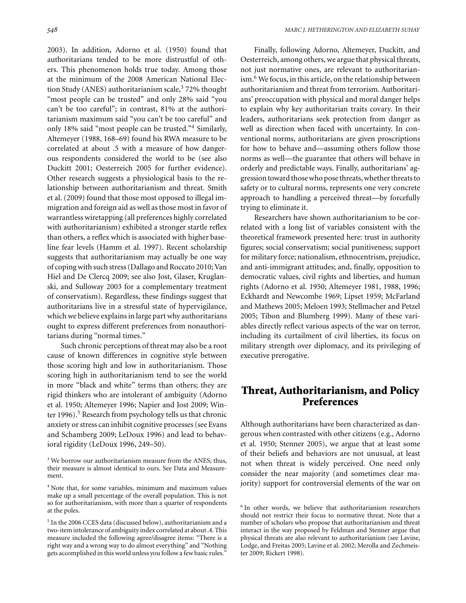2003). In addition, Adorno et al. (1950) found that authoritarians tended to be more distrustful of others. This phenomenon holds true today. Among those at the minimum of the 2008 American National Election Study (ANES) authoritarianism scale, $3\frac{72}{6}$  thought "most people can be trusted" and only 28% said "you can't be too careful"; in contrast, 81% at the authoritarianism maximum said "you can't be too careful" and only 18% said "most people can be trusted."4 Similarly, Altemeyer (1988, 168–69) found his RWA measure to be correlated at about .5 with a measure of how dangerous respondents considered the world to be (see also Duckitt 2001; Oesterreich 2005 for further evidence). Other research suggests a physiological basis to the relationship between authoritarianism and threat. Smith et al. (2009) found that those most opposed to illegal im-

migration and foreign aid as well as those most in favor of warrantless wiretapping (all preferences highly correlated with authoritarianism) exhibited a stronger startle reflex than others, a reflex which is associated with higher baseline fear levels (Hamm et al. 1997). Recent scholarship suggests that authoritarianism may actually be one way of coping with such stress (Dallago and Roccato 2010; Van Hiel and De Clercq 2009; see also Jost, Glaser, Kruglanski, and Sulloway 2003 for a complementary treatment of conservatism). Regardless, these findings suggest that authoritarians live in a stressful state of hypervigilance, which we believe explains in large part why authoritarians ought to express different preferences from nonauthoritarians during "normal times."

Such chronic perceptions of threat may also be a root cause of known differences in cognitive style between those scoring high and low in authoritarianism. Those scoring high in authoritarianism tend to see the world in more "black and white" terms than others; they are rigid thinkers who are intolerant of ambiguity (Adorno et al. 1950; Altemeyer 1996; Napier and Jost 2009; Winter 1996).<sup>5</sup> Research from psychology tells us that chronic anxiety or stress can inhibit cognitive processes (see Evans and Schamberg 2009; LeDoux 1996) and lead to behavioral rigidity (LeDoux 1996, 249–50).

Finally, following Adorno, Altemeyer, Duckitt, and Oesterreich, among others, we argue that physical threats, not just normative ones, are relevant to authoritarianism.<sup>6</sup> We focus, in this article, on the relationship between authoritarianism and threat from terrorism. Authoritarians' preoccupation with physical and moral danger helps to explain why key authoritarian traits covary. In their leaders, authoritarians seek protection from danger as well as direction when faced with uncertainty. In conventional norms, authoritarians are given proscriptions for how to behave and—assuming others follow those norms as well—the guarantee that others will behave in orderly and predictable ways. Finally, authoritarians' aggression toward thosewho pose threats,whether threats to safety or to cultural norms, represents one very concrete approach to handling a perceived threat—by forcefully trying to eliminate it.

Researchers have shown authoritarianism to be correlated with a long list of variables consistent with the theoretical framework presented here: trust in authority figures; social conservatism; social punitiveness; support for military force; nationalism, ethnocentrism, prejudice, and anti-immigrant attitudes; and, finally, opposition to democratic values, civil rights and liberties, and human rights (Adorno et al. 1950; Altemeyer 1981, 1988, 1996; Eckhardt and Newcombe 1969; Lipset 1959; McFarland and Mathews 2005; Meloen 1993; Stellmacher and Petzel 2005; Tibon and Blumberg 1999). Many of these variables directly reflect various aspects of the war on terror, including its curtailment of civil liberties, its focus on military strength over diplomacy, and its privileging of executive prerogative.

# **Threat, Authoritarianism, and Policy Preferences**

Although authoritarians have been characterized as dangerous when contrasted with other citizens (e.g., Adorno et al. 1950; Stenner 2005), we argue that at least some of their beliefs and behaviors are not unusual, at least not when threat is widely perceived. One need only consider the near majority (and sometimes clear majority) support for controversial elements of the war on

 $3$  We borrow our authoritarianism measure from the ANES; thus, their measure is almost identical to ours. See Data and Measurement.

<sup>&</sup>lt;sup>4</sup> Note that, for some variables, minimum and maximum values make up a small percentage of the overall population. This is not so for authoritarianism, with more than a quarter of respondents at the poles.

<sup>5</sup> In the 2006 CCES data (discussed below), authoritarianism and a two-item intolerance of ambiguity index correlated at about .4. This measure included the following agree/disagree items: "There is a right way and a wrong way to do almost everything" and "Nothing gets accomplished in this world unless you follow a few basic rules."

<sup>&</sup>lt;sup>6</sup> In other words, we believe that authoritarianism researchers should not restrict their focus to normative threat. Note that a number of scholars who propose that authoritarianism and threat interact in the way proposed by Feldman and Stenner argue that physical threats are also relevant to authoritarianism (see Lavine, Lodge, and Freitas 2005; Lavine et al. 2002; Merolla and Zechmeister 2009; Rickert 1998).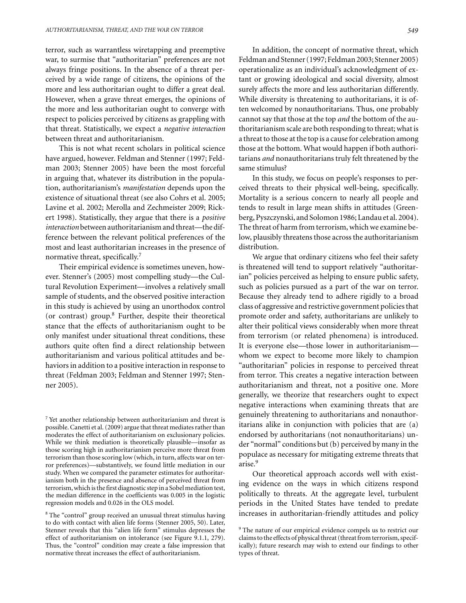terror, such as warrantless wiretapping and preemptive war, to surmise that "authoritarian" preferences are not always fringe positions. In the absence of a threat perceived by a wide range of citizens, the opinions of the more and less authoritarian ought to differ a great deal. However, when a grave threat emerges, the opinions of the more and less authoritarian ought to converge with respect to policies perceived by citizens as grappling with that threat. Statistically, we expect a *negative interaction* between threat and authoritarianism.

This is not what recent scholars in political science have argued, however. Feldman and Stenner (1997; Feldman 2003; Stenner 2005) have been the most forceful in arguing that, whatever its distribution in the population, authoritarianism's *manifestation* depends upon the existence of situational threat (see also Cohrs et al. 2005; Lavine et al. 2002; Merolla and Zechmeister 2009; Rickert 1998). Statistically, they argue that there is a *positive interaction* between authoritarianism and threat—the difference between the relevant political preferences of the most and least authoritarian increases in the presence of normative threat, specifically.<sup>7</sup>

Their empirical evidence is sometimes uneven, however. Stenner's (2005) most compelling study—the Cultural Revolution Experiment—involves a relatively small sample of students, and the observed positive interaction in this study is achieved by using an unorthodox control (or contrast) group.8 Further, despite their theoretical stance that the effects of authoritarianism ought to be only manifest under situational threat conditions, these authors quite often find a direct relationship between authoritarianism and various political attitudes and behaviors in addition to a positive interaction in response to threat (Feldman 2003; Feldman and Stenner 1997; Stenner 2005).

In addition, the concept of normative threat, which Feldman and Stenner (1997; Feldman 2003; Stenner 2005) operationalize as an individual's acknowledgment of extant or growing ideological and social diversity, almost surely affects the more and less authoritarian differently. While diversity is threatening to authoritarians, it is often welcomed by nonauthoritarians. Thus, one probably cannot say that those at the top *and* the bottom of the authoritarianism scale are both responding to threat; what is a threat to those at the top is a cause for celebration among those at the bottom. What would happen if both authoritarians *and* nonauthoritarians truly felt threatened by the same stimulus?

In this study, we focus on people's responses to perceived threats to their physical well-being, specifically. Mortality is a serious concern to nearly all people and tends to result in large mean shifts in attitudes (Greenberg, Pyszczynski, and Solomon 1986; Landau et al. 2004). The threat of harm from terrorism, which we examine below, plausibly threatens those across the authoritarianism distribution.

We argue that ordinary citizens who feel their safety is threatened will tend to support relatively "authoritarian" policies perceived as helping to ensure public safety, such as policies pursued as a part of the war on terror. Because they already tend to adhere rigidly to a broad class of aggressive and restrictive government policies that promote order and safety, authoritarians are unlikely to alter their political views considerably when more threat from terrorism (or related phenomena) is introduced. It is everyone else—those lower in authoritarianism whom we expect to become more likely to champion "authoritarian" policies in response to perceived threat from terror. This creates a negative interaction between authoritarianism and threat, not a positive one. More generally, we theorize that researchers ought to expect negative interactions when examining threats that are genuinely threatening to authoritarians and nonauthoritarians alike in conjunction with policies that are (a) endorsed by authoritarians (not nonauthoritarians) under "normal" conditions but (b) perceived by many in the populace as necessary for mitigating extreme threats that arise.9

Our theoretical approach accords well with existing evidence on the ways in which citizens respond politically to threats. At the aggregate level, turbulent periods in the United States have tended to predate increases in authoritarian-friendly attitudes and policy

<sup>7</sup> Yet another relationship between authoritarianism and threat is possible. Canetti et al. (2009) argue that threat mediates rather than moderates the effect of authoritarianism on exclusionary policies. While we think mediation is theoretically plausible—insofar as those scoring high in authoritarianism perceive more threat from terrorism than those scoring low (which, in turn, affects war on terror preferences)—substantively, we found little mediation in our study. When we compared the parameter estimates for authoritarianism both in the presence and absence of perceived threat from terrorism, which is thefirst diagnostic step in a Sobel mediation test, the median difference in the coefficients was 0.005 in the logistic regression models and 0.026 in the OLS model.

<sup>8</sup> The "control" group received an unusual threat stimulus having to do with contact with alien life forms (Stenner 2005, 50). Later, Stenner reveals that this "alien life form" stimulus depresses the effect of authoritarianism on intolerance (see Figure 9.1.1, 279). Thus, the "control" condition may create a false impression that normative threat increases the effect of authoritarianism.

<sup>&</sup>lt;sup>9</sup> The nature of our empirical evidence compels us to restrict our claims to the effects of physical threat (threat from terrorism, specifically); future research may wish to extend our findings to other types of threat.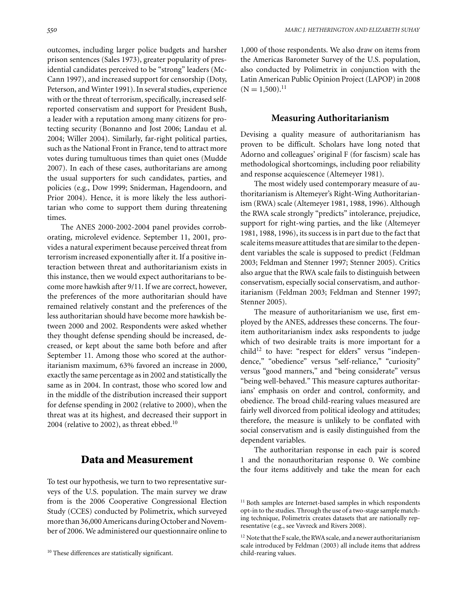outcomes, including larger police budgets and harsher prison sentences (Sales 1973), greater popularity of presidential candidates perceived to be "strong" leaders (Mc-Cann 1997), and increased support for censorship (Doty, Peterson, and Winter 1991). In several studies, experience with or the threat of terrorism, specifically, increased selfreported conservatism and support for President Bush, a leader with a reputation among many citizens for protecting security (Bonanno and Jost 2006; Landau et al. 2004; Willer 2004). Similarly, far-right political parties, such as the National Front in France, tend to attract more votes during tumultuous times than quiet ones (Mudde 2007). In each of these cases, authoritarians are among the usual supporters for such candidates, parties, and policies (e.g., Dow 1999; Sniderman, Hagendoorn, and Prior 2004). Hence, it is more likely the less authoritarian who come to support them during threatening times.

The ANES 2000-2002-2004 panel provides corroborating, microlevel evidence. September 11, 2001, provides a natural experiment because perceived threat from terrorism increased exponentially after it. If a positive interaction between threat and authoritarianism exists in this instance, then we would expect authoritarians to become more hawkish after 9/11. If we are correct, however, the preferences of the more authoritarian should have remained relatively constant and the preferences of the less authoritarian should have become more hawkish between 2000 and 2002. Respondents were asked whether they thought defense spending should be increased, decreased, or kept about the same both before and after September 11. Among those who scored at the authoritarianism maximum, 63% favored an increase in 2000, exactly the same percentage as in 2002 and statistically the same as in 2004. In contrast, those who scored low and in the middle of the distribution increased their support for defense spending in 2002 (relative to 2000), when the threat was at its highest, and decreased their support in 2004 (relative to 2002), as threat ebbed.<sup>10</sup>

## **Data and Measurement**

To test our hypothesis, we turn to two representative surveys of the U.S. population. The main survey we draw from is the 2006 Cooperative Congressional Election Study (CCES) conducted by Polimetrix, which surveyed more than 36,000 Americans during October and November of 2006. We administered our questionnaire online to

1,000 of those respondents. We also draw on items from the Americas Barometer Survey of the U.S. population, also conducted by Polimetrix in conjunction with the Latin American Public Opinion Project (LAPOP) in 2008  $(N = 1,500).$ <sup>11</sup>

#### **Measuring Authoritarianism**

Devising a quality measure of authoritarianism has proven to be difficult. Scholars have long noted that Adorno and colleagues' original F (for fascism) scale has methodological shortcomings, including poor reliability and response acquiescence (Altemeyer 1981).

The most widely used contemporary measure of authoritarianism is Altemeyer's Right-Wing Authoritarianism (RWA) scale (Altemeyer 1981, 1988, 1996). Although the RWA scale strongly "predicts" intolerance, prejudice, support for right-wing parties, and the like (Altemeyer 1981, 1988, 1996), its success is in part due to the fact that scale items measure attitudes that are similar to the dependent variables the scale is supposed to predict (Feldman 2003; Feldman and Stenner 1997; Stenner 2005). Critics also argue that the RWA scale fails to distinguish between conservatism, especially social conservatism, and authoritarianism (Feldman 2003; Feldman and Stenner 1997; Stenner 2005).

The measure of authoritarianism we use, first employed by the ANES, addresses these concerns. The fouritem authoritarianism index asks respondents to judge which of two desirable traits is more important for a child<sup>12</sup> to have: "respect for elders" versus "independence," "obedience" versus "self-reliance," "curiosity" versus "good manners," and "being considerate" versus "being well-behaved." This measure captures authoritarians' emphasis on order and control, conformity, and obedience. The broad child-rearing values measured are fairly well divorced from political ideology and attitudes; therefore, the measure is unlikely to be conflated with social conservatism and is easily distinguished from the dependent variables.

The authoritarian response in each pair is scored 1 and the nonauthoritarian response 0. We combine the four items additively and take the mean for each

<sup>&</sup>lt;sup>10</sup> These differences are statistically significant.

<sup>&</sup>lt;sup>11</sup> Both samples are Internet-based samples in which respondents opt-in to the studies. Through the use of a two-stage sample matching technique, Polimetrix creates datasets that are nationally representative (e.g., see Vavreck and Rivers 2008).

<sup>&</sup>lt;sup>12</sup> Note that the F scale, the RWA scale, and a newer authoritarianism scale introduced by Feldman (2003) all include items that address child-rearing values.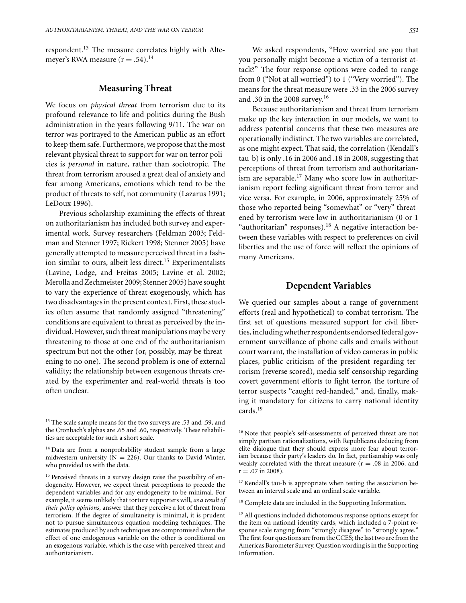respondent.<sup>13</sup> The measure correlates highly with Altemeyer's RWA measure  $(r = .54).^{14}$ 

#### **Measuring Threat**

We focus on *physical threat* from terrorism due to its profound relevance to life and politics during the Bush administration in the years following 9/11. The war on terror was portrayed to the American public as an effort to keep them safe. Furthermore, we propose that the most relevant physical threat to support for war on terror policies is *personal* in nature, rather than sociotropic. The threat from terrorism aroused a great deal of anxiety and fear among Americans, emotions which tend to be the product of threats to self, not community (Lazarus 1991; LeDoux 1996).

Previous scholarship examining the effects of threat on authoritarianism has included both survey and experimental work. Survey researchers (Feldman 2003; Feldman and Stenner 1997; Rickert 1998; Stenner 2005) have generally attempted to measure perceived threat in a fashion similar to ours, albeit less direct.<sup>15</sup> Experimentalists (Lavine, Lodge, and Freitas 2005; Lavine et al. 2002; Merolla and Zechmeister 2009; Stenner 2005) have sought to vary the experience of threat exogenously, which has two disadvantages in the present context. First, these studies often assume that randomly assigned "threatening" conditions are equivalent to threat as perceived by the individual. However, such threat manipulations may be very threatening to those at one end of the authoritarianism spectrum but not the other (or, possibly, may be threatening to no one). The second problem is one of external validity; the relationship between exogenous threats created by the experimenter and real-world threats is too often unclear.

<sup>14</sup> Data are from a nonprobability student sample from a large midwestern university ( $N = 226$ ). Our thanks to David Winter, who provided us with the data.

<sup>15</sup> Perceived threats in a survey design raise the possibility of endogeneity. However, we expect threat perceptions to precede the dependent variables and for any endogeneity to be minimal. For example, it seems unlikely that torture supporters will, *as a result of their policy opinions*, answer that they perceive a lot of threat from terrorism. If the degree of simultaneity is minimal, it is prudent not to pursue simultaneous equation modeling techniques. The estimates produced by such techniques are compromised when the effect of one endogenous variable on the other is conditional on an exogenous variable, which is the case with perceived threat and authoritarianism.

We asked respondents, "How worried are you that you personally might become a victim of a terrorist attack?" The four response options were coded to range from 0 ("Not at all worried") to 1 ("Very worried"). The means for the threat measure were .33 in the 2006 survey and .30 in the 2008 survey.<sup>16</sup>

Because authoritarianism and threat from terrorism make up the key interaction in our models, we want to address potential concerns that these two measures are operationally indistinct. The two variables are correlated, as one might expect. That said, the correlation (Kendall's tau-b) is only .16 in 2006 and .18 in 2008, suggesting that perceptions of threat from terrorism and authoritarianism are separable.<sup>17</sup> Many who score low in authoritarianism report feeling significant threat from terror and vice versa. For example, in 2006, approximately 25% of those who reported being "somewhat" or "very" threatened by terrorism were low in authoritarianism (0 or 1 "authoritarian" responses).<sup>18</sup> A negative interaction between these variables with respect to preferences on civil liberties and the use of force will reflect the opinions of many Americans.

#### **Dependent Variables**

We queried our samples about a range of government efforts (real and hypothetical) to combat terrorism. The first set of questions measured support for civil liberties, including whether respondents endorsed federal government surveillance of phone calls and emails without court warrant, the installation of video cameras in public places, public criticism of the president regarding terrorism (reverse scored), media self-censorship regarding covert government efforts to fight terror, the torture of terror suspects "caught red-handed," and, finally, making it mandatory for citizens to carry national identity cards.<sup>19</sup>

<sup>18</sup> Complete data are included in the Supporting Information.

<sup>19</sup> All questions included dichotomous response options except for the item on national identity cards, which included a 7-point response scale ranging from "strongly disagree" to "strongly agree." The first four questions are from the CCES; the last two are from the Americas Barometer Survey. Question wording is in the Supporting Information.

<sup>&</sup>lt;sup>13</sup> The scale sample means for the two surveys are .53 and .59, and the Cronbach's alphas are .65 and .60, respectively. These reliabilities are acceptable for such a short scale.

<sup>&</sup>lt;sup>16</sup> Note that people's self-assessments of perceived threat are not simply partisan rationalizations, with Republicans deducing from elite dialogue that they should express more fear about terrorism because their party's leaders do. In fact, partisanship was only weakly correlated with the threat measure  $(r = .08 \text{ in } 2006, \text{ and }$  $r = .07$  in 2008).

<sup>&</sup>lt;sup>17</sup> Kendall's tau-b is appropriate when testing the association between an interval scale and an ordinal scale variable.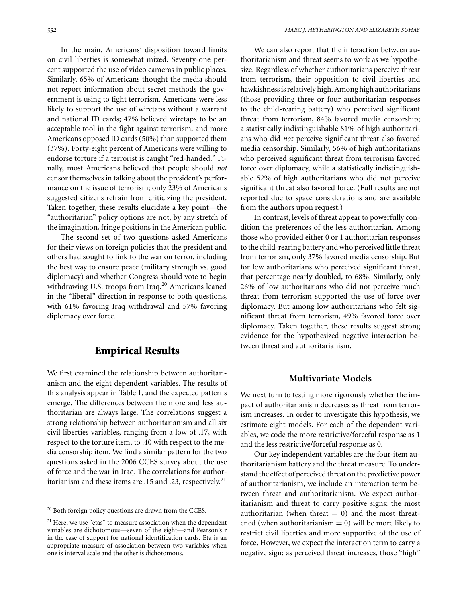In the main, Americans' disposition toward limits on civil liberties is somewhat mixed. Seventy-one percent supported the use of video cameras in public places. Similarly, 65% of Americans thought the media should not report information about secret methods the government is using to fight terrorism. Americans were less likely to support the use of wiretaps without a warrant and national ID cards; 47% believed wiretaps to be an acceptable tool in the fight against terrorism, and more Americans opposed ID cards (50%) than supported them (37%). Forty-eight percent of Americans were willing to endorse torture if a terrorist is caught "red-handed." Finally, most Americans believed that people should *not* censor themselves in talking about the president's performance on the issue of terrorism; only 23% of Americans suggested citizens refrain from criticizing the president. Taken together, these results elucidate a key point—the "authoritarian" policy options are not, by any stretch of the imagination, fringe positions in the American public.

The second set of two questions asked Americans for their views on foreign policies that the president and others had sought to link to the war on terror, including the best way to ensure peace (military strength vs. good diplomacy) and whether Congress should vote to begin withdrawing U.S. troops from Iraq.<sup>20</sup> Americans leaned in the "liberal" direction in response to both questions, with 61% favoring Iraq withdrawal and 57% favoring diplomacy over force.

## **Empirical Results**

We first examined the relationship between authoritarianism and the eight dependent variables. The results of this analysis appear in Table 1, and the expected patterns emerge. The differences between the more and less authoritarian are always large. The correlations suggest a strong relationship between authoritarianism and all six civil liberties variables, ranging from a low of .17, with respect to the torture item, to .40 with respect to the media censorship item. We find a similar pattern for the two questions asked in the 2006 CCES survey about the use of force and the war in Iraq. The correlations for authoritarianism and these items are .15 and .23, respectively.21

We can also report that the interaction between authoritarianism and threat seems to work as we hypothesize. Regardless of whether authoritarians perceive threat from terrorism, their opposition to civil liberties and hawkishness is relatively high. Among high authoritarians (those providing three or four authoritarian responses to the child-rearing battery) who perceived significant threat from terrorism, 84% favored media censorship; a statistically indistinguishable 81% of high authoritarians who did *not* perceive significant threat also favored media censorship. Similarly, 56% of high authoritarians who perceived significant threat from terrorism favored force over diplomacy, while a statistically indistinguishable 52% of high authoritarians who did not perceive significant threat also favored force. (Full results are not reported due to space considerations and are available from the authors upon request.)

In contrast, levels of threat appear to powerfully condition the preferences of the less authoritarian. Among those who provided either 0 or 1 authoritarian responses to the child-rearing battery and who perceived little threat from terrorism, only 37% favored media censorship. But for low authoritarians who perceived significant threat, that percentage nearly doubled, to 68%. Similarly, only 26% of low authoritarians who did not perceive much threat from terrorism supported the use of force over diplomacy. But among low authoritarians who felt significant threat from terrorism, 49% favored force over diplomacy. Taken together, these results suggest strong evidence for the hypothesized negative interaction between threat and authoritarianism.

#### **Multivariate Models**

We next turn to testing more rigorously whether the impact of authoritarianism decreases as threat from terrorism increases. In order to investigate this hypothesis, we estimate eight models. For each of the dependent variables, we code the more restrictive/forceful response as 1 and the less restrictive/forceful response as 0.

Our key independent variables are the four-item authoritarianism battery and the threat measure. To understand the effect of perceived threat on the predictive power of authoritarianism, we include an interaction term between threat and authoritarianism. We expect authoritarianism and threat to carry positive signs: the most authoritarian (when threat  $= 0$ ) and the most threatened (when authoritarianism  $= 0$ ) will be more likely to restrict civil liberties and more supportive of the use of force. However, we expect the interaction term to carry a negative sign: as perceived threat increases, those "high"

<sup>&</sup>lt;sup>20</sup> Both foreign policy questions are drawn from the CCES.

 $21$  Here, we use "etas" to measure association when the dependent variables are dichotomous—seven of the eight—and Pearson's r in the case of support for national identification cards. Eta is an appropriate measure of association between two variables when one is interval scale and the other is dichotomous.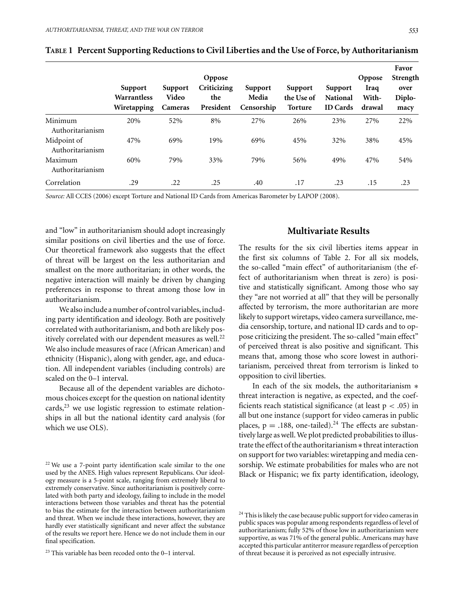|                                 | Support<br><b>Warrantless</b><br>Wiretapping | <b>Support</b><br>Video<br>Cameras | Oppose<br>Criticizing<br>the<br>President | Support<br>Media<br>Censorship | Support<br>the Use of<br><b>Torture</b> | Support<br><b>National</b><br><b>ID</b> Cards | Oppose<br>Iraq<br>With-<br>drawal | Favor<br>Strength<br>over<br>Diplo-<br>macy |
|---------------------------------|----------------------------------------------|------------------------------------|-------------------------------------------|--------------------------------|-----------------------------------------|-----------------------------------------------|-----------------------------------|---------------------------------------------|
| Minimum<br>Authoritarianism     | 20%                                          | 52%                                | 8%                                        | 27%                            | 26%                                     | 23%                                           | 27%                               | 22%                                         |
| Midpoint of<br>Authoritarianism | 47%                                          | 69%                                | 19%                                       | 69%                            | 45%                                     | 32%                                           | 38%                               | 45%                                         |
| Maximum<br>Authoritarianism     | 60%                                          | 79%                                | 33%                                       | 79%                            | 56%                                     | 49%                                           | 47%                               | 54%                                         |
| Correlation                     | .29                                          | .22                                | .25                                       | .40                            | .17                                     | .23                                           | .15                               | .23                                         |

|  | TABLE 1   Percent Supporting Reductions to Civil Liberties and the Use of Force, by Authoritarianism |  |
|--|------------------------------------------------------------------------------------------------------|--|
|--|------------------------------------------------------------------------------------------------------|--|

*Source:* All CCES (2006) except Torture and National ID Cards from Americas Barometer by LAPOP (2008).

and "low" in authoritarianism should adopt increasingly similar positions on civil liberties and the use of force. Our theoretical framework also suggests that the effect of threat will be largest on the less authoritarian and smallest on the more authoritarian; in other words, the negative interaction will mainly be driven by changing preferences in response to threat among those low in authoritarianism.

We also include a number of control variables, including party identification and ideology. Both are positively correlated with authoritarianism, and both are likely positively correlated with our dependent measures as well.<sup>22</sup> We also include measures of race (African American) and ethnicity (Hispanic), along with gender, age, and education. All independent variables (including controls) are scaled on the 0–1 interval.

Because all of the dependent variables are dichotomous choices except for the question on national identity cards, $23$  we use logistic regression to estimate relationships in all but the national identity card analysis (for which we use OLS).

#### **Multivariate Results**

The results for the six civil liberties items appear in the first six columns of Table 2. For all six models, the so-called "main effect" of authoritarianism (the effect of authoritarianism when threat is zero) is positive and statistically significant. Among those who say they "are not worried at all" that they will be personally affected by terrorism, the more authoritarian are more likely to support wiretaps, video camera surveillance, media censorship, torture, and national ID cards and to oppose criticizing the president. The so-called "main effect" of perceived threat is also positive and significant. This means that, among those who score lowest in authoritarianism, perceived threat from terrorism is linked to opposition to civil liberties.

In each of the six models, the authoritarianism ∗ threat interaction is negative, as expected, and the coefficients reach statistical significance (at least  $p < .05$ ) in all but one instance (support for video cameras in public places,  $p = .188$ , one-tailed).<sup>24</sup> The effects are substantively large as well.We plot predicted probabilities to illustrate the effect of the authoritarianism ∗ threat interaction on support for two variables: wiretapping and media censorship. We estimate probabilities for males who are not Black or Hispanic; we fix party identification, ideology,

<sup>22</sup> We use a 7-point party identification scale similar to the one used by the ANES. High values represent Republicans. Our ideology measure is a 5-point scale, ranging from extremely liberal to extremely conservative. Since authoritarianism is positively correlated with both party and ideology, failing to include in the model interactions between those variables and threat has the potential to bias the estimate for the interaction between authoritarianism and threat. When we include these interactions, however, they are hardly ever statistically significant and never affect the substance of the results we report here. Hence we do not include them in our final specification.

<sup>23</sup> This variable has been recoded onto the 0–1 interval.

 $24$  This is likely the case because public support for video cameras in public spaces was popular among respondents regardless of level of authoritarianism; fully 52% of those low in authoritarianism were supportive, as was 71% of the general public. Americans may have accepted this particular antiterror measure regardless of perception of threat because it is perceived as not especially intrusive.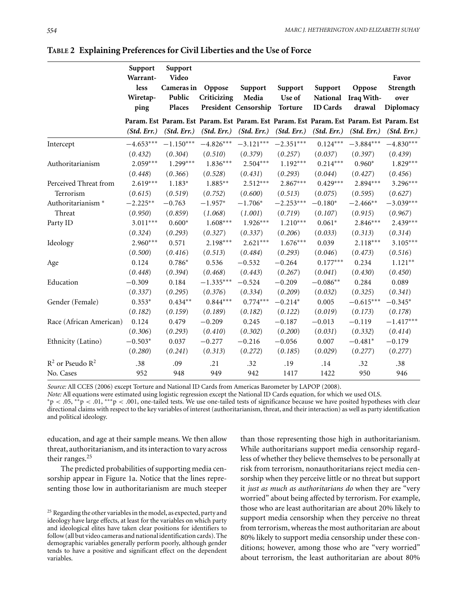|                               | Support<br>Warrant-<br>less<br>Wiretap-<br>ping | Support<br>Video<br>Cameras in<br>Public<br><b>Places</b> | Oppose<br>Criticizing | Support<br>Media<br>President Censorship                                                               | Support<br>Use of<br>Torture | Support<br><b>ID</b> Cards | Oppose<br>National Iraq With-<br>drawal | Favor<br>Strength<br>over<br>Diplomacy |
|-------------------------------|-------------------------------------------------|-----------------------------------------------------------|-----------------------|--------------------------------------------------------------------------------------------------------|------------------------------|----------------------------|-----------------------------------------|----------------------------------------|
|                               | (Std. Err.)                                     | (Std. Err.)                                               | (Std. Err.)           | Param. Est Param. Est Param. Est Param. Est Param. Est Param. Est Param. Est Param. Est<br>(Std. Err.) | (Std. Err.)                  | (Std. Err.)                | (Std. Err.)                             | (Std. Err.)                            |
|                               |                                                 |                                                           |                       |                                                                                                        |                              |                            |                                         |                                        |
| Intercept                     | $-4.653***$                                     | $-1.150***$                                               | $-4.826***$           | $-3.121***$                                                                                            | $-2.351***$                  | $0.124***$                 | $-3.884***$                             | $-4.830***$                            |
|                               | (0.432)                                         | (0.304)                                                   | (0.510)               | (0.379)                                                                                                | (0.257)                      | (0.037)                    | (0.397)                                 | (0.439)                                |
| Authoritarianism              | $2.059***$                                      | $1.299***$                                                | $1.836***$            | $2.504***$                                                                                             | $1.192***$                   | $0.214***$                 | $0.960*$                                | $1.829***$                             |
|                               | (0.448)                                         | (0.366)                                                   | (0.528)               | (0.431)                                                                                                | (0.293)                      | (0.044)                    | (0.427)                                 | (0.456)                                |
| Perceived Threat from         | $2.619***$                                      | $1.183*$                                                  | $1.885**$             | $2.512***$                                                                                             | $2.867***$                   | $0.429***$                 | 2.894***                                | $3.296***$                             |
| Terrorism                     | (0.615)                                         | (0.519)                                                   | (0.752)               | (0.600)                                                                                                | (0.513)                      | (0.075)                    | (0.595)                                 | (0.627)                                |
| Authoritarianism <sup>*</sup> | $-2.225**$                                      | $-0.763$                                                  | $-1.957*$             | $-1.706*$                                                                                              | $-2.253***$                  | $-0.180*$                  | $-2.466$ **                             | $-3.039***$                            |
| Threat                        | (0.950)                                         | (0.859)                                                   | (1.068)               | (1.001)                                                                                                | (0.719)                      | (0.107)                    | (0.915)                                 | (0.967)                                |
| Party ID                      | $3.011***$                                      | $0.600*$                                                  | $1.608***$            | $1.926***$                                                                                             | $1.210***$                   | $0.061*$                   | $2.846***$                              | $2.439***$                             |
|                               | (0.324)                                         | (0.293)                                                   | (0.327)               | (0.337)                                                                                                | (0.206)                      | (0.033)                    | (0.313)                                 | (0.314)                                |
| Ideology                      | $2.960***$                                      | 0.571                                                     | 2.198***              | $2.621***$                                                                                             | $1.676***$                   | 0.039                      | $2.118***$                              | $3.105***$                             |
|                               | (0.500)                                         | (0.416)                                                   | (0.513)               | (0.484)                                                                                                | (0.293)                      | (0.046)                    | (0.473)                                 | (0.516)                                |
| Age                           | 0.124                                           | $0.786*$                                                  | 0.536                 | $-0.532$                                                                                               | $-0.264$                     | $0.177***$                 | 0.234                                   | $1.121**$                              |
|                               | (0.448)                                         | (0.394)                                                   | (0.468)               | (0.443)                                                                                                | (0.267)                      | (0.041)                    | (0.430)                                 | (0.450)                                |
| Education                     | $-0.309$                                        | 0.184                                                     | $-1.335***$           | $-0.524$                                                                                               | $-0.209$                     | $-0.086**$                 | 0.284                                   | 0.089                                  |
|                               | (0.337)                                         | (0.295)                                                   | (0.376)               | (0.334)                                                                                                | (0.209)                      | (0.032)                    | (0.325)                                 | (0.341)                                |
| Gender (Female)               | $0.353*$                                        | $0.434**$                                                 | $0.844***$            | $0.774***$                                                                                             | $-0.214*$                    | 0.005                      | $-0.615***$                             | $-0.345*$                              |
|                               | (0.182)                                         | (0.159)                                                   | (0.189)               | (0.182)                                                                                                | (0.122)                      | (0.019)                    | (0.173)                                 | (0.178)                                |
| Race (African American)       | 0.124                                           | 0.479                                                     | $-0.209$              | 0.245                                                                                                  | $-0.187$                     | $-0.013$                   | $-0.119$                                | $-1.417***$                            |
|                               | (0.306)                                         | (0.293)                                                   | (0.410)               | (0.302)                                                                                                | (0.200)                      | (0.031)                    | (0.332)                                 | (0.414)                                |
| Ethnicity (Latino)            | $-0.503*$                                       | 0.037                                                     | $-0.277$              | $-0.216$                                                                                               | $-0.056$                     | 0.007                      | $-0.481*$                               | $-0.179$                               |
|                               | (0.280)                                         | (0.241)                                                   | (0.313)               | (0.272)                                                                                                | (0.185)                      | (0.029)                    | (0.277)                                 | (0.277)                                |
| $R^2$ or Pseudo $R^2$         | .38                                             | .09                                                       | .21                   | .32                                                                                                    | .19                          | .14                        | .32                                     | .38                                    |
| No. Cases                     | 952                                             | 948                                                       | 949                   | 942                                                                                                    | 1417                         | 1422                       | 950                                     | 946                                    |

| TABLE 2 Explaining Preferences for Civil Liberties and the Use of Force |  |
|-------------------------------------------------------------------------|--|
|-------------------------------------------------------------------------|--|

*Source:* All CCES (2006) except Torture and National ID Cards from Americas Barometer by LAPOP (2008).

*Note:* All equations were estimated using logistic regression except the National ID Cards equation, for which we used OLS.

<sup>∗</sup>p < .05, ∗∗p < .01, ∗∗∗p < .001, one-tailed tests. We use one-tailed tests of significance because we have posited hypotheses with clear directional claims with respect to the key variables of interest (authoritarianism, threat, and their interaction) as well as party identification and political ideology.

education, and age at their sample means. We then allow threat, authoritarianism, and its interaction to vary across their ranges.25

The predicted probabilities of supporting media censorship appear in Figure 1a. Notice that the lines representing those low in authoritarianism are much steeper than those representing those high in authoritarianism. While authoritarians support media censorship regardless of whether they believe themselves to be personally at risk from terrorism, nonauthoritarians reject media censorship when they perceive little or no threat but support it *just as much as authoritarians do* when they are "very worried" about being affected by terrorism. For example, those who are least authoritarian are about 20% likely to support media censorship when they perceive no threat from terrorism, whereas the most authoritarian are about 80% likely to support media censorship under these conditions; however, among those who are "very worried" about terrorism, the least authoritarian are about 80%

<sup>&</sup>lt;sup>25</sup> Regarding the other variables in the model, as expected, party and ideology have large effects, at least for the variables on which party and ideological elites have taken clear positions for identifiers to follow (all but video cameras and national identification cards). The demographic variables generally perform poorly, although gender tends to have a positive and significant effect on the dependent variables.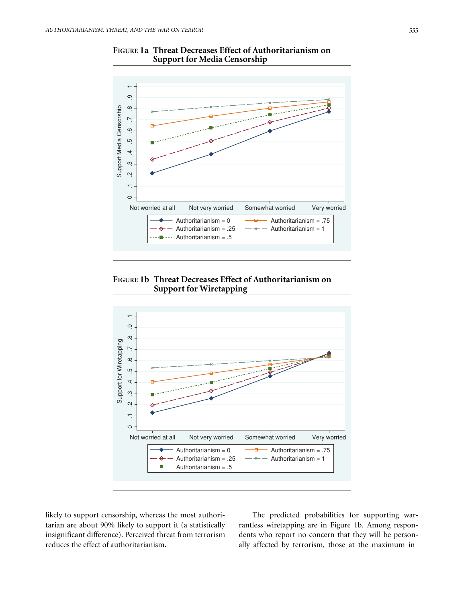

**FIGURE 1a Threat Decreases Effect of Authoritarianism on Support for Media Censorship**

#### **FIGURE 1b Threat Decreases Effect of Authoritarianism on Support for Wiretapping**



likely to support censorship, whereas the most authoritarian are about 90% likely to support it (a statistically insignificant difference). Perceived threat from terrorism reduces the effect of authoritarianism.

The predicted probabilities for supporting warrantless wiretapping are in Figure 1b. Among respondents who report no concern that they will be personally affected by terrorism, those at the maximum in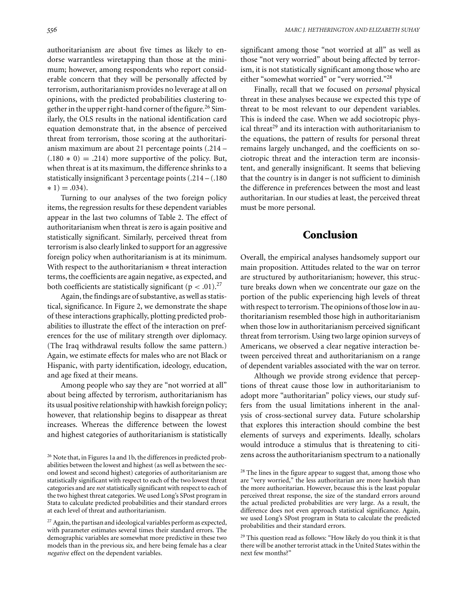authoritarianism are about five times as likely to endorse warrantless wiretapping than those at the minimum; however, among respondents who report considerable concern that they will be personally affected by terrorism, authoritarianism provides no leverage at all on opinions, with the predicted probabilities clustering together in the upper right-hand corner of the figure.<sup>26</sup> Similarly, the OLS results in the national identification card equation demonstrate that, in the absence of perceived threat from terrorism, those scoring at the authoritarianism maximum are about 21 percentage points (.214 –  $(.180 * 0) = .214$ ) more supportive of the policy. But, when threat is at its maximum, the difference shrinks to a statistically insignificant 3 percentage points (.214 – (.180  $* 1) = .034$ .

Turning to our analyses of the two foreign policy items, the regression results for these dependent variables appear in the last two columns of Table 2. The effect of authoritarianism when threat is zero is again positive and statistically significant. Similarly, perceived threat from terrorism is also clearly linked to support for an aggressive foreign policy when authoritarianism is at its minimum. With respect to the authoritarianism ∗ threat interaction terms, the coefficients are again negative, as expected, and both coefficients are statistically significant ( $p < .01$ ).<sup>27</sup>

Again, the findings are of substantive, as well as statistical, significance. In Figure 2, we demonstrate the shape of these interactions graphically, plotting predicted probabilities to illustrate the effect of the interaction on preferences for the use of military strength over diplomacy. (The Iraq withdrawal results follow the same pattern.) Again, we estimate effects for males who are not Black or Hispanic, with party identification, ideology, education, and age fixed at their means.

Among people who say they are "not worried at all" about being affected by terrorism, authoritarianism has its usual positive relationship with hawkish foreign policy; however, that relationship begins to disappear as threat increases. Whereas the difference between the lowest and highest categories of authoritarianism is statistically

significant among those "not worried at all" as well as those "not very worried" about being affected by terrorism, it is not statistically significant among those who are either "somewhat worried" or "very worried."<sup>28</sup>

Finally, recall that we focused on *personal* physical threat in these analyses because we expected this type of threat to be most relevant to our dependent variables. This is indeed the case. When we add sociotropic physical threat<sup>29</sup> and its interaction with authoritarianism to the equations, the pattern of results for personal threat remains largely unchanged, and the coefficients on sociotropic threat and the interaction term are inconsistent, and generally insignificant. It seems that believing that the country is in danger is not sufficient to diminish the difference in preferences between the most and least authoritarian. In our studies at least, the perceived threat must be more personal.

## **Conclusion**

Overall, the empirical analyses handsomely support our main proposition. Attitudes related to the war on terror are structured by authoritarianism; however, this structure breaks down when we concentrate our gaze on the portion of the public experiencing high levels of threat with respect to terrorism. The opinions of those low in authoritarianism resembled those high in authoritarianism when those low in authoritarianism perceived significant threat from terrorism. Using two large opinion surveys of Americans, we observed a clear negative interaction between perceived threat and authoritarianism on a range of dependent variables associated with the war on terror.

Although we provide strong evidence that perceptions of threat cause those low in authoritarianism to adopt more "authoritarian" policy views, our study suffers from the usual limitations inherent in the analysis of cross-sectional survey data. Future scholarship that explores this interaction should combine the best elements of surveys and experiments. Ideally, scholars would introduce a stimulus that is threatening to citizens across the authoritarianism spectrum to a nationally

<sup>&</sup>lt;sup>26</sup> Note that, in Figures 1a and 1b, the differences in predicted probabilities between the lowest and highest (as well as between the second lowest and second highest) categories of authoritarianism are statistically significant with respect to each of the two lowest threat categories and are *not* statistically significant with respect to each of the two highest threat categories. We used Long's SPost program in Stata to calculate predicted probabilities and their standard errors at each level of threat and authoritarianism.

 $27$  Again, the partisan and ideological variables perform as expected, with parameter estimates several times their standard errors. The demographic variables are somewhat more predictive in these two models than in the previous six, and here being female has a clear *negative* effect on the dependent variables.

<sup>&</sup>lt;sup>28</sup> The lines in the figure appear to suggest that, among those who are "very worried," the less authoritarian are more hawkish than the more authoritarian. However, because this is the least popular perceived threat response, the size of the standard errors around the actual predicted probabilities are very large. As a result, the difference does not even approach statistical significance. Again, we used Long's SPost program in Stata to calculate the predicted probabilities and their standard errors.

<sup>&</sup>lt;sup>29</sup> This question read as follows: "How likely do you think it is that there will be another terrorist attack in the United States within the next few months?"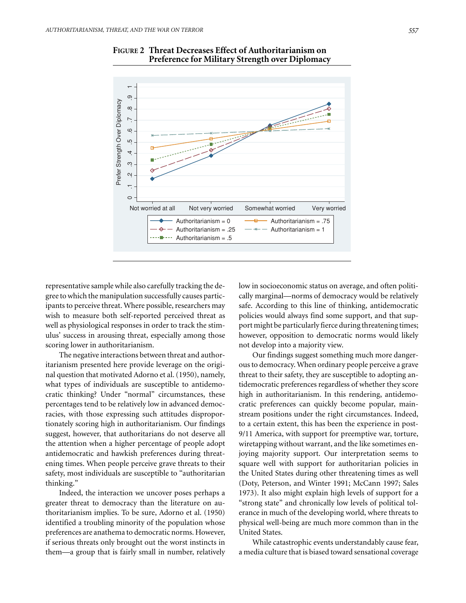

**FIGURE 2 Threat Decreases Effect of Authoritarianism on Preference for Military Strength over Diplomacy**

representative sample while also carefully tracking the degree to which the manipulation successfully causes participants to perceive threat. Where possible, researchers may wish to measure both self-reported perceived threat as well as physiological responses in order to track the stimulus' success in arousing threat, especially among those scoring lower in authoritarianism.

The negative interactions between threat and authoritarianism presented here provide leverage on the original question that motivated Adorno et al. (1950), namely, what types of individuals are susceptible to antidemocratic thinking? Under "normal" circumstances, these percentages tend to be relatively low in advanced democracies, with those expressing such attitudes disproportionately scoring high in authoritarianism. Our findings suggest, however, that authoritarians do not deserve all the attention when a higher percentage of people adopt antidemocratic and hawkish preferences during threatening times. When people perceive grave threats to their safety, most individuals are susceptible to "authoritarian thinking."

Indeed, the interaction we uncover poses perhaps a greater threat to democracy than the literature on authoritarianism implies. To be sure, Adorno et al. (1950) identified a troubling minority of the population whose preferences are anathema to democratic norms. However, if serious threats only brought out the worst instincts in them—a group that is fairly small in number, relatively low in socioeconomic status on average, and often politically marginal—norms of democracy would be relatively safe. According to this line of thinking, antidemocratic policies would always find some support, and that support might be particularly fierce during threatening times; however, opposition to democratic norms would likely not develop into a majority view.

Our findings suggest something much more dangerous to democracy. When ordinary people perceive a grave threat to their safety, they are susceptible to adopting antidemocratic preferences regardless of whether they score high in authoritarianism. In this rendering, antidemocratic preferences can quickly become popular, mainstream positions under the right circumstances. Indeed, to a certain extent, this has been the experience in post-9/11 America, with support for preemptive war, torture, wiretapping without warrant, and the like sometimes enjoying majority support. Our interpretation seems to square well with support for authoritarian policies in the United States during other threatening times as well (Doty, Peterson, and Winter 1991; McCann 1997; Sales 1973). It also might explain high levels of support for a "strong state" and chronically low levels of political tolerance in much of the developing world, where threats to physical well-being are much more common than in the United States.

While catastrophic events understandably cause fear, a media culture that is biased toward sensational coverage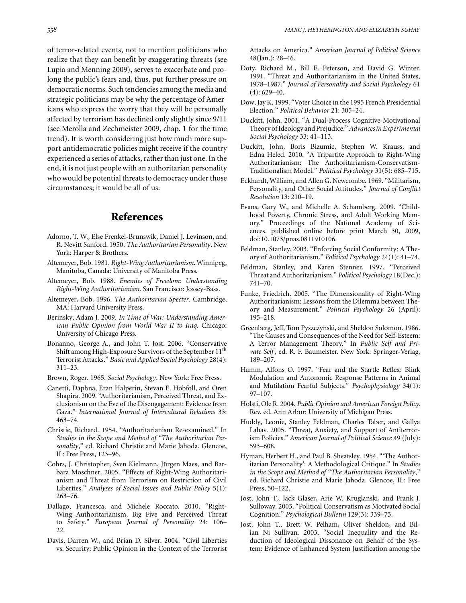of terror-related events, not to mention politicians who realize that they can benefit by exaggerating threats (see Lupia and Menning 2009), serves to exacerbate and prolong the public's fears and, thus, put further pressure on democratic norms. Such tendencies among the media and strategic politicians may be why the percentage of Americans who express the worry that they will be personally affected by terrorism has declined only slightly since 9/11 (see Merolla and Zechmeister 2009, chap. 1 for the time trend). It is worth considering just how much more support antidemocratic policies might receive if the country experienced a series of attacks, rather than just one. In the end, it is not just people with an authoritarian personality who would be potential threats to democracy under those circumstances; it would be all of us.

## **References**

- Adorno, T. W., Else Frenkel-Brunswik, Daniel J. Levinson, and R. Nevitt Sanford. 1950. *The Authoritarian Personality*. New York: Harper & Brothers.
- Altemeyer, Bob. 1981. *Right-Wing Authoritarianism*. Winnipeg, Manitoba, Canada: University of Manitoba Press.
- Altemeyer, Bob. 1988. *Enemies of Freedom: Understanding Right-Wing Authoritarianism*. San Francisco: Jossey-Bass.
- Altemeyer, Bob. 1996. *The Authoritarian Specter*. Cambridge, MA: Harvard University Press.
- Berinsky, Adam J. 2009. *In Time of War: Understanding American Public Opinion from World War II to Iraq*. Chicago: University of Chicago Press.
- Bonanno, George A., and John T. Jost. 2006. "Conservative Shift among High-Exposure Survivors of the September 11<sup>th</sup> Terrorist Attacks." *Basic and Applied Social Psychology* 28(4): 311–23.
- Brown, Roger. 1965. *Social Psychology*. New York: Free Press.
- Canetti, Daphna, Eran Halperin, Stevan E. Hobfoll, and Oren Shapira. 2009. "Authoritarianism, Perceived Threat, and Exclusionism on the Eve of the Disengagement: Evidence from Gaza." *International Journal of Intercultural Relations* 33: 463–74.
- Christie, Richard. 1954. "Authoritarianism Re-examined." In *Studies in the Scope and Method of "The Authoritarian Personality*," ed. Richard Christie and Marie Jahoda. Glencoe, IL: Free Press, 123–96.
- Cohrs, J. Christopher, Sven Kielmann, Jürgen Maes, and Barbara Moschner. 2005. "Effects of Right-Wing Authoritarianism and Threat from Terrorism on Restriction of Civil Liberties." *Analyses of Social Issues and Public Policy* 5(1): 263–76.
- Dallago, Francesca, and Michele Roccato. 2010. "Right-Wing Authoritarianism, Big Five and Perceived Threat to Safety." *European Journal of Personality* 24: 106– 22.
- Davis, Darren W., and Brian D. Silver. 2004. "Civil Liberties vs. Security: Public Opinion in the Context of the Terrorist

Attacks on America." *American Journal of Political Science* 48(Jan.): 28–46.

- Doty, Richard M., Bill E. Peterson, and David G. Winter. 1991. "Threat and Authoritarianism in the United States, 1978–1987." *Journal of Personality and Social Psychology* 61 (4): 629–40.
- Dow, Jay K. 1999. "Voter Choice in the 1995 French Presidential Election." *Political Behavior* 21: 305–24.
- Duckitt, John. 2001. "A Dual-Process Cognitive-Motivational Theory of Ideology and Prejudice."*Advancesin Experimental Social Psychology* 33: 41–113.
- Duckitt, John, Boris Bizumic, Stephen W. Krauss, and Edna Heled. 2010. "A Tripartite Approach to Right-Wing Authoritarianism: The Authoritarianism-Conservatism-Traditionalism Model." *Political Psychology* 31(5): 685–715.
- Eckhardt, William, and Allen G. Newcombe. 1969. "Militarism, Personality, and Other Social Attitudes." *Journal of Conflict Resolution* 13: 210–19.
- Evans, Gary W., and Michelle A. Schamberg. 2009. "Childhood Poverty, Chronic Stress, and Adult Working Memory." Proceedings of the National Academy of Sciences. published online before print March 30, 2009, doi:10.1073/pnas.0811910106.
- Feldman, Stanley. 2003. "Enforcing Social Conformity: A Theory of Authoritarianism." *Political Psychology* 24(1): 41–74.
- Feldman, Stanley, and Karen Stenner. 1997. "Perceived Threat and Authoritarianism." *Political Psychology* 18(Dec.): 741–70.
- Funke, Friedrich. 2005. "The Dimensionality of Right-Wing Authoritarianism: Lessons from the Dilemma between Theory and Measurement." *Political Psychology* 26 (April): 195–218.
- Greenberg, Jeff, Tom Pyszczynski, and Sheldon Solomon. 1986. "The Causes and Consequences of the Need for Self-Esteem: A Terror Management Theory." In *Public Self and Private Self* , ed. R. F. Baumeister. New York: Springer-Verlag, 189–207.
- Hamm, Alfons O. 1997. "Fear and the Startle Reflex: Blink Modulation and Autonomic Response Patterns in Animal and Mutilation Fearful Subjects." *Psychophysiology* 34(1): 97–107.
- Holsti, Ole R. 2004. *Public Opinion and American Foreign Policy.* Rev. ed. Ann Arbor: University of Michigan Press.
- Huddy, Leonie, Stanley Feldman, Charles Taber, and Gallya Lahav. 2005. "Threat, Anxiety, and Support of Antiterrorism Policies." *American Journal of Political Science* 49 (July): 593–608.
- Hyman, Herbert H., and Paul B. Sheatsley. 1954. "'The Authoritarian Personality': A Methodological Critique." In *Studies in the Scope and Method of "The Authoritarian Personality*," ed. Richard Christie and Marie Jahoda. Glencoe, IL: Free Press, 50–122.
- Jost, John T., Jack Glaser, Arie W. Kruglanski, and Frank J. Sulloway. 2003. "Political Conservatism as Motivated Social Cognition." *Psychological Bulletin* 129(3): 339–75.
- Jost, John T., Brett W. Pelham, Oliver Sheldon, and Bilian Ni Sullivan. 2003. "Social Inequality and the Reduction of Ideological Dissonance on Behalf of the System: Evidence of Enhanced System Justification among the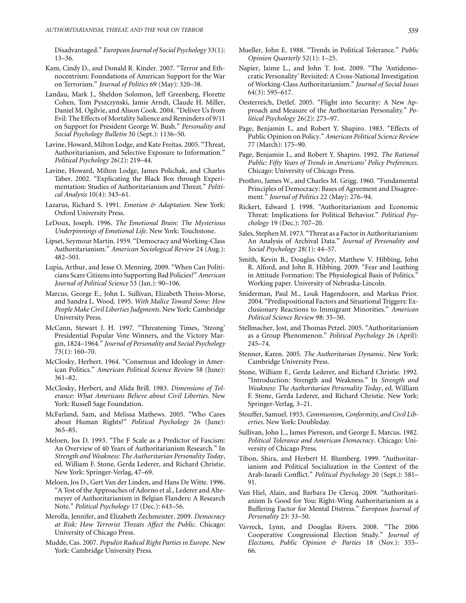Disadvantaged." *European Journal of Social Psychology* 33(1): 13–36.

- Kam, Cindy D., and Donald R. Kinder. 2007. "Terror and Ethnocentrism: Foundations of American Support for the War on Terrorism." *Journal of Politics* 69 (May): 320–38.
- Landau, Mark J., Sheldon Solomon, Jeff Greenberg, Florette Cohen, Tom Pyszczynski, Jamie Arndt, Claude H. Miller, Daniel M. Ogilvie, and Alison Cook. 2004. "Deliver Us from Evil: The Effects of Mortality Salience and Reminders of 9/11 on Support for President George W. Bush." *Personality and Social Psychology Bulletin* 30 (Sept.): 1136–50.
- Lavine, Howard, Milton Lodge, and Kate Freitas. 2005. "Threat, Authoritarianism, and Selective Exposure to Information." *Political Psychology* 26(2): 219–44.
- Lavine, Howard, Milton Lodge, James Polichak, and Charles Taber. 2002. "Explicating the Black Box through Experimentation: Studies of Authoritarianism and Threat." *Political Analysis* 10(4): 343–61.
- Lazarus, Richard S. 1991. *Emotion & Adaptation*. New York: Oxford University Press.
- LeDoux, Joseph. 1996. *The Emotional Brain: The Mysterious Underpinnings of Emotional Life*. New York: Touchstone.
- Lipset, Seymour Martin. 1959. "Democracy and Working-Class Authoritarianism." *American Sociological Review* 24 (Aug.): 482–501.
- Lupia, Arthur, and Jesse O. Menning. 2009. "When Can Politicians Scare Citizens into Supporting Bad Policies?"*American Journal of Political Science* 53 (Jan.): 90–106.
- Marcus, George E., John L. Sullivan, Elizabeth Theiss-Morse, and Sandra L. Wood. 1995. *With Malice Toward Some: How People Make Civil Liberties Judgments*. New York: Cambridge University Press.
- McCann, Stewart J. H. 1997. "Threatening Times, 'Strong' Presidential Popular Vote Winners, and the Victory Margin, 1824–1964." *Journal of Personality and Social Psychology* 73(1): 160–70.
- McClosky, Herbert. 1964. "Consensus and Ideology in American Politics." *American Political Science Review* 58 (June): 361–82.
- McClosky, Herbert, and Alida Brill. 1983. *Dimensions of Tolerance: What Americans Believe about Civil Liberties*. New York: Russell Sage Foundation.
- McFarland, Sam, and Melissa Mathews. 2005. "Who Cares about Human Rights?" *Political Psychology* 26 (June): 365–85.
- Meloen, Jos D. 1993. "The F Scale as a Predictor of Fascism: An Overview of 40 Years of Authoritarianism Research." In *Strength and Weakness: The Authoritarian Personality Today*, ed. William F. Stone, Gerda Lederer, and Richard Christie. New York: Springer-Verlag, 47–69.
- Meloen, Jos D., Gert Van der Linden, and Hans De Witte. 1996. "A Test of the Approaches of Adorno et al., Lederer and Altemeyer of Authoritarianism in Belgian Flanders: A Research Note." *Political Psychology* 17 (Dec.): 643–56.
- Merolla, Jennifer, and Elizabeth Zechmeister. 2009. *Democracy at Risk: How Terrorist Threats Affect the Public*. Chicago: University of Chicago Press.
- Mudde, Cas. 2007. *Populist Radical Right Parties in Europe*. New York: Cambridge University Press.
- Mueller, John E. 1988. "Trends in Political Tolerance." *Public Opinion Quarterly* 52(1): 1–25.
- Napier, Jaime L., and John T. Jost. 2009. "The 'Antidemocratic Personality' Revisited: A Cross-National Investigation of Working-Class Authoritarianism." *Journal of Social Issues* 64(3): 595–617.
- Oesterreich, Detlef. 2005. "Flight into Security: A New Approach and Measure of the Authoritarian Personality." *Political Psychology* 26(2): 275–97.
- Page, Benjamin I., and Robert Y. Shapiro. 1983. "Effects of Public Opinion on Policy." *American Political Science Review* 77 (March): 175–90.
- Page, Benjamin I., and Robert Y. Shapiro. 1992. *The Rational Public: Fifty Years of Trends in Americans' Policy Preferences*. Chicago: University of Chicago Press.
- Prothro, James W., and Charles M. Grigg. 1960. "Fundamental Principles of Democracy: Bases of Agreement and Disagreement." *Journal of Politics* 22 (May): 276–94.
- Rickert, Edward J. 1998. "Authoritarianism and Economic Threat: Implications for Political Behavior." *Political Psychology* 19 (Dec.): 707–20.
- Sales, Stephen M. 1973. "Threat as a Factor in Authoritarianism: An Analysis of Archival Data." *Journal of Personality and Social Psychology* 28(1): 44–57.
- Smith, Kevin B., Douglas Oxley, Matthew V. Hibbing, John R. Alford, and John R. Hibbing. 2009. "Fear and Loathing in Attitude Formation: The Physiological Basis of Politics." Working paper. University of Nebraska-Lincoln.
- Sniderman, Paul M., Louk Hagendoorn, and Markus Prior. 2004. "Predispositional Factors and Situational Triggers: Exclusionary Reactions to Immigrant Minorities." *American Political Science Review* 98: 35–50.
- Stellmacher, Jost, and Thomas Petzel. 2005. "Authoritarianism as a Group Phenomenon." *Political Psychology* 26 (April): 245–74.
- Stenner, Karen. 2005. *The Authoritarian Dynamic*. New York: Cambridge University Press.
- Stone, William F., Gerda Lederer, and Richard Christie. 1992. "Introduction: Strength and Weakness." In *Strength and Weakness: The Authoritarian Personality Today*, ed. William F. Stone, Gerda Lederer, and Richard Christie. New York: Springer-Verlag, 3–21.
- Stouffer, Samuel. 1955. *Communism, Conformity, and Civil Liberties*. New York: Doubleday.
- Sullivan, John L., James Piereson, and George E. Marcus. 1982. *Political Tolerance and American Democracy*. Chicago: University of Chicago Press.
- Tibon, Shira, and Herbert H. Blumberg. 1999. "Authoritarianism and Political Socialization in the Context of the Arab-Israeli Conflict." *Political Psychology* 20 (Sept.): 581– 91.
- Van Hiel, Alain, and Barbara De Clercq. 2009. "Authoritarianism Is Good for You: Right-Wing Authoritarianism as a Buffering Factor for Mental Distress." *European Journal of Personality* 23: 33–50.
- Vavreck, Lynn, and Douglas Rivers. 2008. "The 2006 Cooperative Congressional Election Study." *Journal of Elections, Public Opinion & Parties* 18 (Nov.): 355– 66.